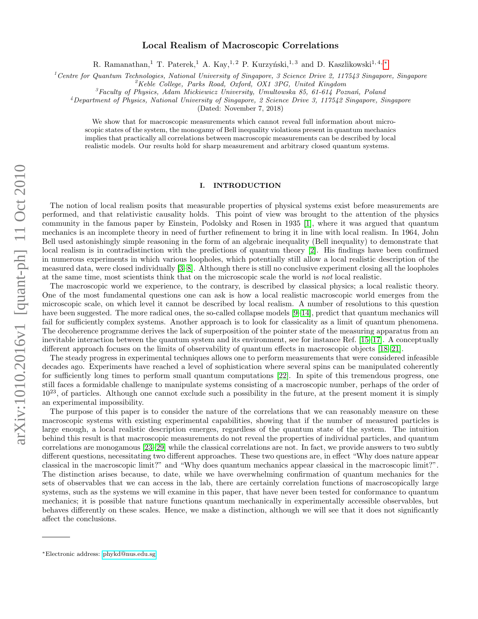# Local Realism of Macroscopic Correlations

R. Ramanathan,<sup>1</sup> T. Paterek,<sup>1</sup> A. Kay,<sup>1,2</sup> P. Kurzyński,<sup>1,3</sup> and D. Kaszlikowski<sup>1,4,\*</sup>

<sup>1</sup> Centre for Quantum Technologies, National University of Singapore, 3 Science Drive 2, 117543 Singapore, Singapore

 ${}^{2}$ Keble College, Parks Road, Oxford, OX1 3PG, United Kingdom

 ${}^{3}$ Faculty of Physics, Adam Mickiewicz University, Umultowska 85, 61-614 Poznań, Poland

 $4$ Department of Physics, National University of Singapore, 2 Science Drive 3, 117542 Singapore, Singapore

(Dated: November 7, 2018)

We show that for macroscopic measurements which cannot reveal full information about microscopic states of the system, the monogamy of Bell inequality violations present in quantum mechanics implies that practically all correlations between macroscopic measurements can be described by local realistic models. Our results hold for sharp measurement and arbitrary closed quantum systems.

#### I. INTRODUCTION

The notion of local realism posits that measurable properties of physical systems exist before measurements are performed, and that relativistic causality holds. This point of view was brought to the attention of the physics community in the famous paper by Einstein, Podolsky and Rosen in 1935 [\[1\]](#page-5-0), where it was argued that quantum mechanics is an incomplete theory in need of further refinement to bring it in line with local realism. In 1964, John Bell used astonishingly simple reasoning in the form of an algebraic inequality (Bell inequality) to demonstrate that local realism is in contradistinction with the predictions of quantum theory [\[2\]](#page-5-1). His findings have been confirmed in numerous experiments in which various loopholes, which potentially still allow a local realistic description of the measured data, were closed individually [\[3–](#page-6-0)[8\]](#page-6-1). Although there is still no conclusive experiment closing all the loopholes at the same time, most scientists think that on the microscopic scale the world is not local realistic.

The macroscopic world we experience, to the contrary, is described by classical physics; a local realistic theory. One of the most fundamental questions one can ask is how a local realistic macroscopic world emerges from the microscopic scale, on which level it cannot be described by local realism. A number of resolutions to this question have been suggested. The more radical ones, the so-called collapse models [\[9](#page-6-2)[–14\]](#page-6-3), predict that quantum mechanics will fail for sufficiently complex systems. Another approach is to look for classicality as a limit of quantum phenomena. The decoherence programme derives the lack of superposition of the pointer state of the measuring apparatus from an inevitable interaction between the quantum system and its environment, see for instance Ref. [\[15–](#page-6-4)[17\]](#page-6-5). A conceptually different approach focuses on the limits of observability of quantum effects in macroscopic objects [\[18–](#page-6-6)[21\]](#page-6-7).

The steady progress in experimental techniques allows one to perform measurements that were considered infeasible decades ago. Experiments have reached a level of sophistication where several spins can be manipulated coherently for sufficiently long times to perform small quantum computations [\[22\]](#page-6-8). In spite of this tremendous progress, one still faces a formidable challenge to manipulate systems consisting of a macroscopic number, perhaps of the order of  $10^{23}$ , of particles. Although one cannot exclude such a possibility in the future, at the present moment it is simply an experimental impossibility.

The purpose of this paper is to consider the nature of the correlations that we can reasonably measure on these macroscopic systems with existing experimental capabilities, showing that if the number of measured particles is large enough, a local realistic description emerges, regardless of the quantum state of the system. The intuition behind this result is that macroscopic measurements do not reveal the properties of individual particles, and quantum correlations are monogamous [\[23](#page-6-9)[–29\]](#page-6-10) while the classical correlations are not. In fact, we provide answers to two subtly different questions, necessitating two different approaches. These two questions are, in effect "Why does nature appear classical in the macroscopic limit?" and "Why does quantum mechanics appear classical in the macroscopic limit?". The distinction arises because, to date, while we have overwhelming confirmation of quantum mechanics for the sets of observables that we can access in the lab, there are certainly correlation functions of macroscopically large systems, such as the systems we will examine in this paper, that have never been tested for conformance to quantum mechanics; it is possible that nature functions quantum mechanically in experimentally accessible observables, but behaves differently on these scales. Hence, we make a distinction, although we will see that it does not significantly affect the conclusions.

arXiv:1010.2016v1 [quant-ph] 11 Oct 2010 arXiv:1010.2016v1 [quant-ph] 11 Oct 2010

<span id="page-0-0"></span><sup>∗</sup>Electronic address: [phykd@nus.edu.sg](mailto:phykd@nus.edu.sg)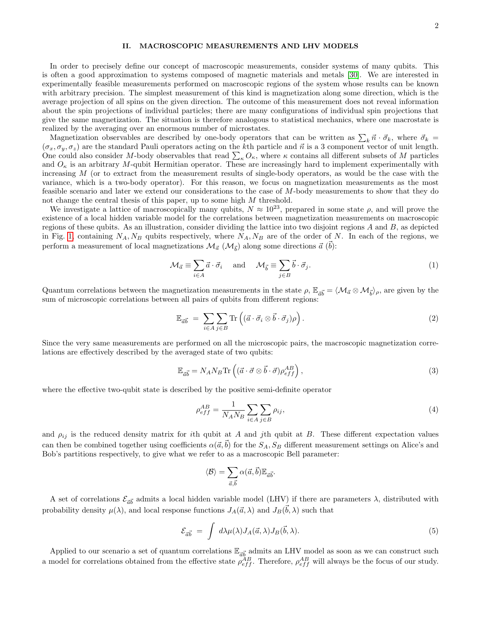### II. MACROSCOPIC MEASUREMENTS AND LHV MODELS

In order to precisely define our concept of macroscopic measurements, consider systems of many qubits. This is often a good approximation to systems composed of magnetic materials and metals [\[30\]](#page-6-11). We are interested in experimentally feasible measurements performed on macroscopic regions of the system whose results can be known with arbitrary precision. The simplest measurement of this kind is magnetization along some direction, which is the average projection of all spins on the given direction. The outcome of this measurement does not reveal information about the spin projections of individual particles; there are many configurations of individual spin projections that give the same magnetization. The situation is therefore analogous to statistical mechanics, where one macrostate is realized by the averaging over an enormous number of microstates.

Magnetization observables are described by one-body operators that can be written as  $\sum_k \vec{n} \cdot \vec{\sigma}_k$ , where  $\vec{\sigma}_k$  $(\sigma_x, \sigma_y, \sigma_z)$  are the standard Pauli operators acting on the kth particle and  $\vec{n}$  is a 3 component vector of unit length. One could also consider M-body observables that read  $\sum_{\kappa} O_{\kappa}$ , where  $\kappa$  contains all different subsets of M particles and  $O_{\kappa}$  is an arbitrary M-qubit Hermitian operator. These are increasingly hard to implement experimentally with increasing  $M$  (or to extract from the measurement results of single-body operators, as would be the case with the variance, which is a two-body operator). For this reason, we focus on magnetization measurements as the most feasible scenario and later we extend our considerations to the case of M-body measurements to show that they do not change the central thesis of this paper, up to some high M threshold.

We investigate a lattice of macroscopically many qubits,  $N \approx 10^{23}$ , prepared in some state  $\rho$ , and will prove the existence of a local hidden variable model for the correlations between magnetization measurements on macroscopic regions of these qubits. As an illustration, consider dividing the lattice into two disjoint regions A and B, as depicted in Fig. [1,](#page-2-0) containing  $N_A, N_B$  qubits respectively, where  $N_A, N_B$  are of the order of N. In each of the regions, we perform a measurement of local magnetizations  $\mathcal{M}_{\vec{a}}~(\mathcal{M}_{\vec{b}})$  along some directions  $\vec{a}~(\vec{b})$ :

$$
\mathcal{M}_{\vec{a}} \equiv \sum_{i \in A} \vec{a} \cdot \vec{\sigma}_i \quad \text{and} \quad \mathcal{M}_{\vec{b}} \equiv \sum_{j \in B} \vec{b} \cdot \vec{\sigma}_j. \tag{1}
$$

Quantum correlations between the magnetization measurements in the state  $\rho$ ,  $\mathbb{E}_{\vec{a}\vec{b}} = \langle \mathcal{M}_{\vec{a}} \otimes \mathcal{M}_{\vec{b}} \rangle_{\rho}$ , are given by the sum of microscopic correlations between all pairs of qubits from different regions:

$$
\mathbb{E}_{\vec{a}\vec{b}} = \sum_{i \in A} \sum_{j \in B} \text{Tr}\left( (\vec{a} \cdot \vec{\sigma}_i \otimes \vec{b} \cdot \vec{\sigma}_j) \rho \right). \tag{2}
$$

Since the very same measurements are performed on all the microscopic pairs, the macroscopic magnetization correlations are effectively described by the averaged state of two qubits:

$$
\mathbb{E}_{\vec{a}\vec{b}} = N_A N_B \text{Tr} \left( (\vec{a} \cdot \vec{\sigma} \otimes \vec{b} \cdot \vec{\sigma}) \rho_{eff}^{AB} \right), \tag{3}
$$

where the effective two-qubit state is described by the positive semi-definite operator

$$
\rho_{eff}^{AB} = \frac{1}{N_A N_B} \sum_{i \in A} \sum_{j \in B} \rho_{ij},\tag{4}
$$

and  $\rho_{ij}$  is the reduced density matrix for ith qubit at A and jth qubit at B. These different expectation values can then be combined together using coefficients  $\alpha(\vec{a},\vec{b})$  for the  $S_A$ ,  $S_B$  different measurement settings on Alice's and Bob's partitions respectively, to give what we refer to as a macroscopic Bell parameter:

$$
\langle \mathcal{B} \rangle = \sum_{\vec{a}, \vec{b}} \alpha(\vec{a}, \vec{b}) \mathbb{E}_{\vec{a}\vec{b}}.
$$

A set of correlations  $\mathcal{E}_{\vec{a}\vec{b}}$  admits a local hidden variable model (LHV) if there are parameters  $\lambda$ , distributed with probability density  $\mu(\lambda)$ , and local response functions  $J_A(\vec{a}, \lambda)$  and  $J_B(\vec{b}, \lambda)$  such that

$$
\mathcal{E}_{\vec{a}\vec{b}} = \int d\lambda \mu(\lambda) J_A(\vec{a}, \lambda) J_B(\vec{b}, \lambda). \tag{5}
$$

Applied to our scenario a set of quantum correlations  $\mathbb{E}_{\vec{a}\vec{b}}$  admits an LHV model as soon as we can construct such a model for correlations obtained from the effective state  $\rho_{eff}^{AB}$ . Therefore,  $\rho_{eff}^{AB}$  will always be the focus of our study.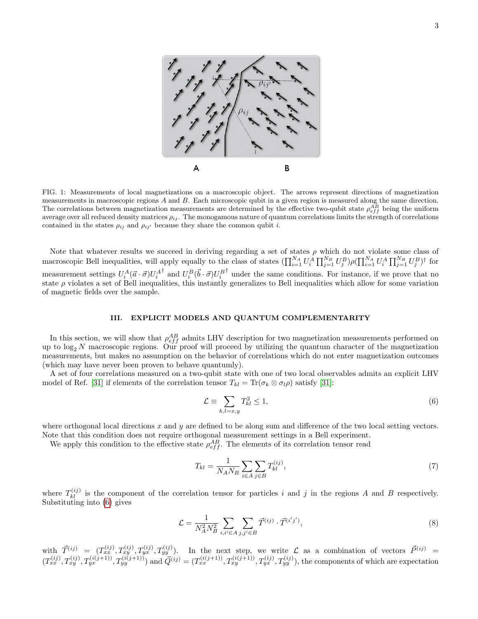

<span id="page-2-0"></span>FIG. 1: Measurements of local magnetizations on a macroscopic object. The arrows represent directions of magnetization measurements in macroscopic regions  $A$  and  $B$ . Each microscopic qubit in a given region is measured along the same direction. The correlations between magnetization measurements are determined by the effective two-qubit state  $\rho_{eff}^{AB}$  being the uniform average over all reduced density matrices  $\rho_{ij}$ . The monogamous nature of quantum correlations limits the strength of correlations contained in the states  $\rho_{ij}$  and  $\rho_{ij'}$  because they share the common qubit i.

Note that whatever results we succeed in deriving regarding a set of states  $\rho$  which do not violate some class of macroscopic Bell inequalities, will apply equally to the class of states  $(\prod_{i=1}^{N_A} U_i^A \prod_{j=1}^{N_B} U_j^B) \rho (\prod_{i=1}^{N_A} U_i^A \prod_{j=1}^{N_B} U_j^B)^{\dagger}$  for measurement settings  $U_i^A (\vec{a} \cdot \vec{\sigma}) U_i^A$ <sup>†</sup> and  $U_i^B(\vec{b}\cdot\vec{\sigma})U_i^B$ <sup>†</sup> under the same conditions. For instance, if we prove that no state  $\rho$  violates a set of Bell inequalities, this instantly generalizes to Bell inequalities which allow for some variation of magnetic fields over the sample.

## <span id="page-2-2"></span>III. EXPLICIT MODELS AND QUANTUM COMPLEMENTARITY

In this section, we will show that  $\rho_{eff}^{AB}$  admits LHV description for two magnetization measurements performed on up to  $\log_2 N$  macroscopic regions. Our proof will proceed by utilizing the quantum character of the magnetization measurements, but makes no assumption on the behavior of correlations which do not enter magnetization outcomes (which may have never been proven to behave quantumly).

A set of four correlations measured on a two-qubit state with one of two local observables admits an explicit LHV model of Ref. [\[31\]](#page-6-12) if elements of the correlation tensor  $T_{kl} = \text{Tr}(\sigma_k \otimes \sigma_l \rho)$  satisfy [31]:

<span id="page-2-1"></span>
$$
\mathcal{L} \equiv \sum_{k,l=x,y} T_{kl}^2 \le 1,\tag{6}
$$

where orthogonal local directions  $x$  and  $y$  are defined to be along sum and difference of the two local setting vectors. Note that this condition does not require orthogonal measurement settings in a Bell experiment.

We apply this condition to the effective state  $\rho_{eff}^{AB}$ . The elements of its correlation tensor read

$$
T_{kl} = \frac{1}{N_A N_B} \sum_{i \in A} \sum_{j \in B} T_{kl}^{(ij)},\tag{7}
$$

where  $T_{kl}^{(ij)}$  is the component of the correlation tensor for particles i and j in the regions A and B respectively. Substituting into [\(6\)](#page-2-1) gives

$$
\mathcal{L} = \frac{1}{N_A^2 N_B^2} \sum_{i,i' \in A} \sum_{j,j' \in B} \vec{T}^{(ij)} \cdot \vec{T}^{(i'j')},\tag{8}
$$

with  $\vec{T}^{(ij)} = (T_{xx}^{(ij)}, T_{yy}^{(ij)}, T_{yx}^{(ij)}, T_{yy}^{(ij)})$ . In the next step, we write  $\mathcal{L}$  as a combination of vectors  $\vec{P}^{(ij)} =$  $(T_{xx}^{(ij)}, T_{yy}^{(ij)}, T_{yx}^{(i(j+1))}, T_{yy}^{(i(j+1))})$  and  $\vec{Q}^{(ij)} = (T_{xx}^{(i(j+1))}, T_{xy}^{(i(j+1))}, T_{yx}^{(ij)}, T_{yy}^{(ij)})$ , the components of which are expectation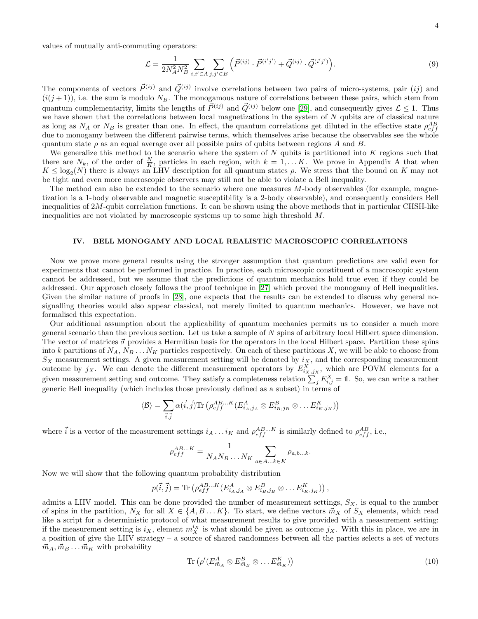values of mutually anti-commuting operators:

$$
\mathcal{L} = \frac{1}{2N_A^2 N_B^2} \sum_{i,i' \in A} \sum_{j,j' \in B} \left( \vec{P}^{(ij)} \cdot \vec{P}^{(i'j')} + \vec{Q}^{(ij)} \cdot \vec{Q}^{(i'j')} \right). \tag{9}
$$

The components of vectors  $\vec{P}^{(ij)}$  and  $\vec{Q}^{(ij)}$  involve correlations between two pairs of micro-systems, pair  $(ij)$  and  $(i(j+1))$ , i.e. the sum is modulo  $N_B$ . The monogamous nature of correlations between these pairs, which stem from quantum complementarity, limits the lengths of  $\vec{P}^{(ij)}$  and  $\vec{Q}^{(ij)}$  below one [\[29\]](#page-6-10), and consequently gives  $\mathcal{L} \leq 1$ . Thus we have shown that the correlations between local magnetizations in the system of N qubits are of classical nature as long as  $N_A$  or  $N_B$  is greater than one. In effect, the quantum correlations get diluted in the effective state  $\rho_{eff}^{AB}$ due to monogamy between the different pairwise terms, which themselves arise because the observables see the whole quantum state  $\rho$  as an equal average over all possible pairs of qubits between regions A and B.

We generalize this method to the scenario where the system of  $N$  qubits is partitioned into  $K$  regions such that there are  $N_k$ , of the order of  $\frac{N}{K}$ , particles in each region, with  $k = 1, \ldots K$ . We prove in Appendix A that when  $K \leq \log_2(N)$  there is always an LHV description for all quantum states  $\rho$ . We stress that the bound on K may not be tight and even more macroscopic observers may still not be able to violate a Bell inequality.

The method can also be extended to the scenario where one measures  $M$ -body observables (for example, magnetization is a 1-body observable and magnetic susceptibility is a 2-body observable), and consequently considers Bell inequalities of 2M-qubit correlation functions. It can be shown using the above methods that in particular CHSH-like inequalities are not violated by macroscopic systems up to some high threshold M.

### <span id="page-3-1"></span>IV. BELL MONOGAMY AND LOCAL REALISTIC MACROSCOPIC CORRELATIONS

Now we prove more general results using the stronger assumption that quantum predictions are valid even for experiments that cannot be performed in practice. In practice, each microscopic constituent of a macroscopic system cannot be addressed, but we assume that the predictions of quantum mechanics hold true even if they could be addressed. Our approach closely follows the proof technique in [\[27\]](#page-6-13) which proved the monogamy of Bell inequalities. Given the similar nature of proofs in [\[28\]](#page-6-14), one expects that the results can be extended to discuss why general nosignalling theories would also appear classical, not merely limited to quantum mechanics. However, we have not formalised this expectation.

Our additional assumption about the applicability of quantum mechanics permits us to consider a much more general scenario than the previous section. Let us take a sample of  $N$  spins of arbitrary local Hilbert space dimension. The vector of matrices  $\vec{\sigma}$  provides a Hermitian basis for the operators in the local Hilbert space. Partition these spins into k partitions of  $N_A$ ,  $N_B$ ...  $N_K$  particles respectively. On each of these partitions X, we will be able to choose from  $S_X$  measurement settings. A given measurement setting will be denoted by  $i_X$ , and the corresponding measurement outcome by  $j_X$ . We can denote the different measurement operators by  $E_{i_X,j_X}^X$ , which are POVM elements for a given measurement setting and outcome. They satisfy a completeness relation  $\sum_j E_{i,j}^X = \mathbb{1}$ . So, we can write a rather generic Bell inequality (which includes those previously defined as a subset) in terms of

$$
\langle \mathcal{B} \rangle = \sum_{\vec{i},\vec{j}} \alpha(\vec{i},\vec{j}) \text{Tr} \left( \rho_{eff}^{AB...K} (E_{i_A,j_A}^A \otimes E_{i_B,j_B}^B \otimes \ldots E_{i_K,j_K}^K) \right)
$$

where  $\vec{i}$  is a vector of the measurement settings  $i_A \dots i_K$  and  $\rho_{eff}^{AB\dots K}$  is similarly defined to  $\rho_{eff}^{AB}$ , i.e.,

$$
\rho_{eff}^{AB...K} = \frac{1}{N_A N_B \dots N_K} \sum_{a \in A...k \in K} \rho_{a,b...k}.
$$

Now we will show that the following quantum probability distribution

$$
p(\vec{i},\vec{j}) = \text{Tr}\left(\rho_{eff}^{AB...K}(E^A_{i_A,j_A} \otimes E^B_{i_B,j_B} \otimes \dots E^K_{i_K,j_K})\right),
$$

admits a LHV model. This can be done provided the number of measurement settings,  $S_X$ , is equal to the number of spins in the partition,  $N_X$  for all  $X \in \{A, B \dots K\}$ . To start, we define vectors  $\vec{m}_X$  of  $S_X$  elements, which read like a script for a deterministic protocol of what measurement results to give provided with a measurement setting: if the measurement setting is  $i_X$ , element  $m_X^{i_X}$  is what should be given as outcome  $j_X$ . With this in place, we are in a position of give the LHV strategy – a source of shared randomness between all the parties selects a set of vectors  $\vec{m}_A, \vec{m}_B \dots \vec{m}_K$  with probability

<span id="page-3-0"></span>
$$
\operatorname{Tr}\left(\rho'(E_{\vec{m}_A}^A \otimes E_{\vec{m}_B}^B \otimes \dots E_{\vec{m}_K}^K)\right) \tag{10}
$$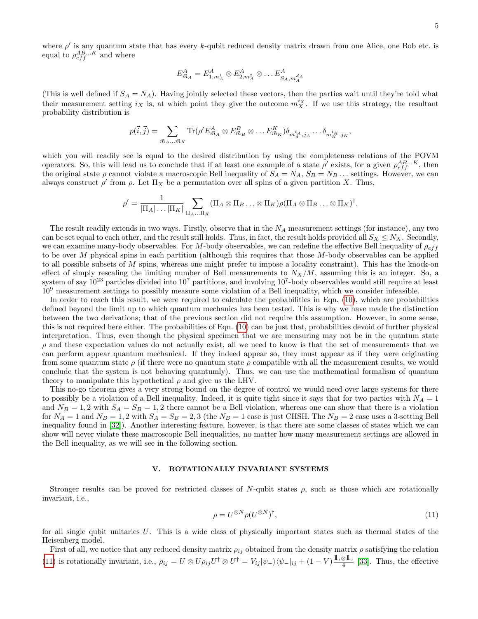where  $\rho'$  is any quantum state that has every k-qubit reduced density matrix drawn from one Alice, one Bob etc. is equal to  $\rho_{eff}^{AB...K}$  and where

$$
E_{\vec{m}_A}^A = E_{1,m_A^1}^A \otimes E_{2,m_A^2}^A \otimes \dots E_{S_A,m_A^{S_A}}^A
$$

(This is well defined if  $S_A = N_A$ ). Having jointly selected these vectors, then the parties wait until they're told what their measurement setting  $i_X$  is, at which point they give the outcome  $m_X^{i_X}$ . If we use this strategy, the resultant probability distribution is

$$
p(\vec{i},\vec{j}) = \sum_{\vec{m}_A...\vec{m}_K} \text{Tr}(\rho' E_{\vec{m}_A}^A \otimes E_{\vec{m}_B}^B \otimes \dots E_{\vec{m}_K}^K) \delta_{m_A^{i_A},j_A} \dots \delta_{m_K^{i_K},j_K},
$$

which you will readily see is equal to the desired distribution by using the completeness relations of the POVM operators. So, this will lead us to conclude that if at least one example of a state  $\rho'$  exists, for a given  $\rho_{eff}^{AB...K}$ , then the original state  $\rho$  cannot violate a macroscopic Bell inequality of  $S_A = N_A$ ,  $S_B = N_B$ ... settings. However, we can always construct  $\rho'$  from  $\rho$ . Let  $\Pi_X$  be a permutation over all spins of a given partition X. Thus,

$$
\rho' = \frac{1}{|\Pi_A| \dots |\Pi_K|} \sum_{\Pi_A \dots \Pi_K} (\Pi_A \otimes \Pi_B \dots \otimes \Pi_K) \rho (\Pi_A \otimes \Pi_B \dots \otimes \Pi_K)^{\dagger}.
$$

The result readily extends in two ways. Firstly, observe that in the  $N_A$  measurement settings (for instance), any two can be set equal to each other, and the result still holds. Thus, in fact, the result holds provided all  $S_X \leq N_X$ . Secondly, we can examine many-body observables. For M-body observables, we can redefine the effective Bell inequality of  $\rho_{eff}$ to be over M physical spins in each partition (although this requires that those  $M$ -body observables can be applied to all possible subsets of  $M$  spins, whereas one might prefer to impose a locality constraint). This has the knock-on effect of simply rescaling the limiting number of Bell measurements to  $N_X/M$ , assuming this is an integer. So, a system of say  $10^{23}$  particles divided into  $10^7$  partitions, and involving  $10^7$ -body observables would still require at least 10<sup>9</sup> measurement settings to possibly measure some violation of a Bell inequality, which we consider infeasible.

In order to reach this result, we were required to calculate the probabilities in Eqn. [\(10\)](#page-3-0), which are probabilities defined beyond the limit up to which quantum mechanics has been tested. This is why we have made the distinction between the two derivations; that of the previous section did not require this assumption. However, in some sense, this is not required here either. The probabilities of Eqn. [\(10\)](#page-3-0) can be just that, probabilities devoid of further physical interpretation. Thus, even though the physical specimen that we are measuring may not be in the quantum state  $\rho$  and these expectation values do not actually exist, all we need to know is that the set of measurements that we can perform appear quantum mechanical. If they indeed appear so, they must appear as if they were originating from some quantum state  $\rho$  (if there were no quantum state  $\rho$  compatible with all the measurement results, we would conclude that the system is not behaving quantumly). Thus, we can use the mathematical formalism of quantum theory to manipulate this hypothetical  $\rho$  and give us the LHV.

This no-go theorem gives a very strong bound on the degree of control we would need over large systems for there to possibly be a violation of a Bell inequality. Indeed, it is quite tight since it says that for two parties with  $N_A = 1$ and  $N_B = 1, 2$  with  $S_A = S_B = 1, 2$  there cannot be a Bell violation, whereas one can show that there is a violation for  $N_A = 1$  and  $N_B = 1, 2$  with  $S_A = S_B = 2, 3$  (the  $N_B = 1$  case is just CHSH. The  $N_B = 2$  case uses a 3-setting Bell inequality found in [\[32\]](#page-6-15)). Another interesting feature, however, is that there are some classes of states which we can show will never violate these macroscopic Bell inequalities, no matter how many measurement settings are allowed in the Bell inequality, as we will see in the following section.

### V. ROTATIONALLY INVARIANT SYSTEMS

Stronger results can be proved for restricted classes of N-qubit states  $\rho$ , such as those which are rotationally invariant, i.e.,

<span id="page-4-0"></span>
$$
\rho = U^{\otimes N} \rho (U^{\otimes N})^{\dagger},\tag{11}
$$

for all single qubit unitaries  $U$ . This is a wide class of physically important states such as thermal states of the Heisenberg model.

First of all, we notice that any reduced density matrix  $\rho_{ij}$  obtained from the density matrix  $\rho$  satisfying the relation [\(11\)](#page-4-0) is rotationally invariant, i.e.,  $\rho_{ij} = U \otimes U \rho_{ij} U^{\dagger} \otimes U^{\dagger} = V_{ij} |\psi_{-}\rangle \langle \psi_{-}|_{ij} + (1 - V) \frac{\mathbb{1}_{i} \otimes \mathbb{1}_{j}}{4}$  [\[33\]](#page-6-16). Thus, the effective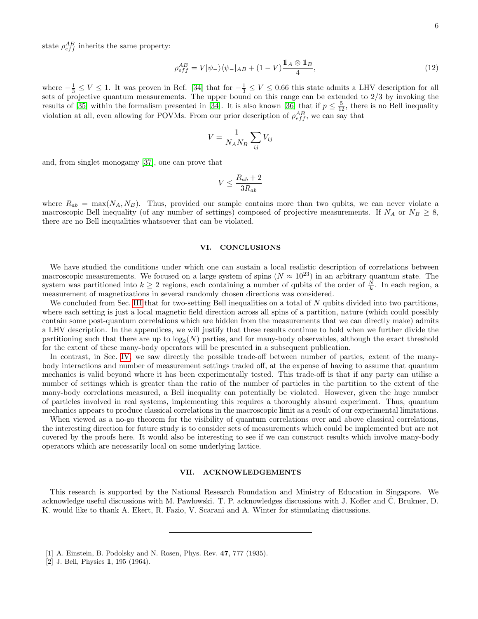$$
\rho_{eff}^{AB} = V|\psi_{-}\rangle\langle\psi_{-}|_{AB} + (1 - V)\frac{\mathbb{1}_{A} \otimes \mathbb{1}_{B}}{4},\tag{12}
$$

where  $-\frac{1}{3} \le V \le 1$ . It was proven in Ref. [\[34\]](#page-6-17) that for  $-\frac{1}{3} \le V \le 0.66$  this state admits a LHV description for all sets of projective quantum measurements. The upper bound on this range can be extended to 2/3 by invoking the results of [\[35\]](#page-6-18) within the formalism presented in [\[34\]](#page-6-17). It is also known [\[36\]](#page-6-19) that if  $p \leq \frac{5}{12}$ , there is no Bell inequality violation at all, even allowing for POVMs. From our prior description of  $\rho_{eff}^{AB}$ , we can say that

$$
V = \frac{1}{N_A N_B} \sum_{ij} V_{ij}
$$

and, from singlet monogamy [\[37\]](#page-6-20), one can prove that

$$
V \le \frac{R_{ab} + 2}{3R_{ab}}
$$

where  $R_{ab} = \max(N_A, N_B)$ . Thus, provided our sample contains more than two qubits, we can never violate a macroscopic Bell inequality (of any number of settings) composed of projective measurements. If  $N_A$  or  $N_B \geq 8$ , there are no Bell inequalities whatsoever that can be violated.

#### VI. CONCLUSIONS

We have studied the conditions under which one can sustain a local realistic description of correlations between macroscopic measurements. We focused on a large system of spins  $(N \approx 10^{23})$  in an arbitrary quantum state. The system was partitioned into  $k \geq 2$  regions, each containing a number of qubits of the order of  $\frac{N}{k}$ . In each region, a measurement of magnetizations in several randomly chosen directions was considered.

We concluded from Sec. [III](#page-2-2) that for two-setting Bell inequalities on a total of N qubits divided into two partitions, where each setting is just a local magnetic field direction across all spins of a partition, nature (which could possibly contain some post-quantum correlations which are hidden from the measurements that we can directly make) admits a LHV description. In the appendices, we will justify that these results continue to hold when we further divide the partitioning such that there are up to  $\log_2(N)$  parties, and for many-body observables, although the exact threshold for the extent of these many-body operators will be presented in a subsequent publication.

In contrast, in Sec. [IV,](#page-3-1) we saw directly the possible trade-off between number of parties, extent of the manybody interactions and number of measurement settings traded off, at the expense of having to assume that quantum mechanics is valid beyond where it has been experimentally tested. This trade-off is that if any party can utilise a number of settings which is greater than the ratio of the number of particles in the partition to the extent of the many-body correlations measured, a Bell inequality can potentially be violated. However, given the huge number of particles involved in real systems, implementing this requires a thoroughly absurd experiment. Thus, quantum mechanics appears to produce classical correlations in the macroscopic limit as a result of our experimental limitations.

When viewed as a no-go theorem for the visibility of quantum correlations over and above classical correlations, the interesting direction for future study is to consider sets of measurements which could be implemented but are not covered by the proofs here. It would also be interesting to see if we can construct results which involve many-body operators which are necessarily local on some underlying lattice.

#### VII. ACKNOWLEDGEMENTS

This research is supported by the National Research Foundation and Ministry of Education in Singapore. We acknowledge useful discussions with M. Pawlowski. T. P. acknowledges discussions with J. Kofler and C. Brukner, D. K. would like to thank A. Ekert, R. Fazio, V. Scarani and A. Winter for stimulating discussions.

<span id="page-5-0"></span><sup>[1]</sup> A. Einstein, B. Podolsky and N. Rosen, Phys. Rev. 47, 777 (1935).

<span id="page-5-1"></span><sup>[2]</sup> J. Bell, Physics 1, 195 (1964).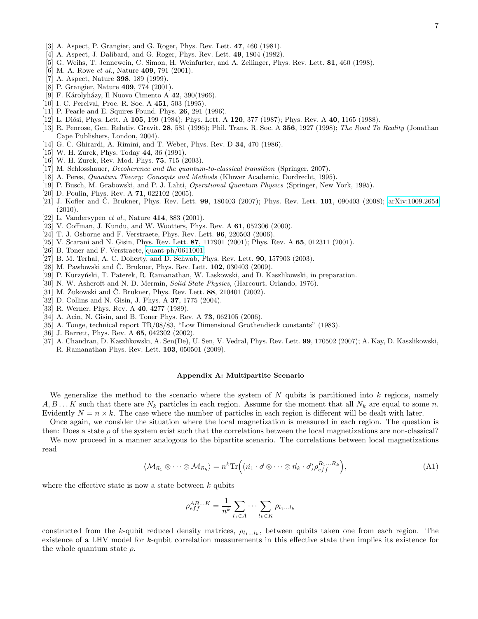- <span id="page-6-0"></span>[3] A. Aspect, P. Grangier, and G. Roger, Phys. Rev. Lett. 47, 460 (1981).
- [4] A. Aspect, J. Dalibard, and G. Roger, Phys. Rev. Lett. 49, 1804 (1982).
- [5] G. Weihs, T. Jennewein, C. Simon, H. Weinfurter, and A. Zeilinger, Phys. Rev. Lett. 81, 460 (1998).
- [6] M. A. Rowe *et al.*, Nature **409**, 791 (2001).
- [7] A. Aspect, Nature 398, 189 (1999).
- <span id="page-6-1"></span>[8] P. Grangier, Nature 409, 774 (2001).
- <span id="page-6-2"></span>[9] F. Károlyházy, Il Nuovo Cimento A 42, 390(1966).
- [10] I. C. Percival, Proc. R. Soc. A 451, 503 (1995).
- [11] P. Pearle and E. Squires Found. Phys. **26**, 291 (1996).
- [12] L. Diósi, Phys. Lett. A 105, 199 (1984); Phys. Lett. A 120, 377 (1987); Phys. Rev. A 40, 1165 (1988).
- [13] R. Penrose, Gen. Relativ. Gravit. 28, 581 (1996); Phil. Trans. R. Soc. A 356, 1927 (1998); The Road To Reality (Jonathan Cape Publishers, London, 2004).
- <span id="page-6-3"></span>[14] G. C. Ghirardi, A. Rimini, and T. Weber, Phys. Rev. D 34, 470 (1986).
- <span id="page-6-4"></span>[15] W. H. Zurek, Phys. Today 44, 36 (1991).
- [16] W. H. Zurek, Rev. Mod. Phys. 75, 715 (2003).
- <span id="page-6-5"></span>[17] M. Schlosshauer, Decoherence and the quantum-to-classical transition (Springer, 2007).
- <span id="page-6-6"></span>[18] A. Peres, Quantum Theory: Concepts and Methods (Kluwer Academic, Dordrecht, 1995).
- [19] P. Busch, M. Grabowski, and P. J. Lahti, *Operational Quantum Physics* (Springer, New York, 1995).
- [20] D. Poulin, Phys. Rev. A 71, 022102 (2005).
- <span id="page-6-7"></span>[21] J. Kofler and Č. Brukner, Phys. Rev. Lett.  $99$ , 180403 (2007); Phys. Rev. Lett.  $101$ , 090403 (2008); [arXiv:1009.2654](http://arxiv.org/abs/1009.2654) (2010).
- <span id="page-6-8"></span>[22] L. Vandersypen et al., Nature 414, 883 (2001).
- <span id="page-6-9"></span>[23] V. Coffman, J. Kundu, and W. Wootters, Phys. Rev. A 61, 052306 (2000).
- [24] T. J. Osborne and F. Verstraete, Phys. Rev. Lett. 96, 220503 (2006).
- <span id="page-6-21"></span>[25] V. Scarani and N. Gisin, Phys. Rev. Lett. 87, 117901 (2001); Phys. Rev. A 65, 012311 (2001).
- [26] B. Toner and F. Verstraete, [quant-ph/0611001.](http://arxiv.org/abs/quant-ph/0611001)
- <span id="page-6-13"></span>[27] B. M. Terhal, A. C. Doherty, and D. Schwab, Phys. Rev. Lett. 90, 157903 (2003).
- <span id="page-6-14"></span>[28] M. Pawłowski and Č. Brukner, Phys. Rev. Lett.  $102$ , 030403 (2009).
- <span id="page-6-10"></span>[29] P. Kurzyński, T. Paterek, R. Ramanathan, W. Laskowski, and D. Kaszlikowski, in preparation.
- <span id="page-6-11"></span>[30] N. W. Ashcroft and N. D. Mermin, Solid State Physics, (Harcourt, Orlando, 1976).
- <span id="page-6-12"></span>[31] M. Zukowski and Č. Brukner, Phys. Rev. Lett.  $88$ , 210401 (2002).
- <span id="page-6-15"></span>[32] D. Collins and N. Gisin, J. Phys. A **37**, 1775 (2004).
- <span id="page-6-16"></span>[33] R. Werner, Phys. Rev. A 40, 4277 (1989).
- <span id="page-6-17"></span>[34] A. Acin, N. Gisin, and B. Toner Phys. Rev. A **73**, 062105 (2006).
- <span id="page-6-18"></span>[35] A. Tonge, technical report TR/08/83, "Low Dimensional Grothendieck constants" (1983).
- <span id="page-6-19"></span>[36] J. Barrett, Phys. Rev. A **65**, 042302 (2002).
- <span id="page-6-20"></span>[37] A. Chandran, D. Kaszlikowski, A. Sen(De), U. Sen, V. Vedral, Phys. Rev. Lett. 99, 170502 (2007); A. Kay, D. Kaszlikowski, R. Ramanathan Phys. Rev. Lett. 103, 050501 (2009).

#### Appendix A: Multipartite Scenario

We generalize the method to the scenario where the system of  $N$  qubits is partitioned into  $k$  regions, namely  $A, B, \ldots K$  such that there are  $N_k$  particles in each region. Assume for the moment that all  $N_k$  are equal to some n. Evidently  $N = n \times k$ . The case where the number of particles in each region is different will be dealt with later.

Once again, we consider the situation where the local magnetization is measured in each region. The question is then: Does a state  $\rho$  of the system exist such that the correlations between the local magnetizations are non-classical?

We now proceed in a manner analogous to the bipartite scenario. The correlations between local magnetizations read

$$
\langle \mathcal{M}_{\vec{n}_1} \otimes \cdots \otimes \mathcal{M}_{\vec{n}_k} \rangle = n^k \text{Tr}\Big( (\vec{n}_1 \cdot \vec{\sigma} \otimes \cdots \otimes \vec{n}_k \cdot \vec{\sigma}) \rho_{eff}^{R_1 \dots R_k} \Big), \tag{A1}
$$

where the effective state is now a state between  $k$  qubits

$$
\rho_{eff}^{AB...K} = \frac{1}{n^k} \sum_{l_1 \in A} \cdots \sum_{l_k \in K} \rho_{l_1...l_k}
$$

constructed from the k-qubit reduced density matrices,  $\rho_{l_1...l_k}$ , between qubits taken one from each region. The existence of a LHV model for k-qubit correlation measurements in this effective state then implies its existence for the whole quantum state  $\rho$ .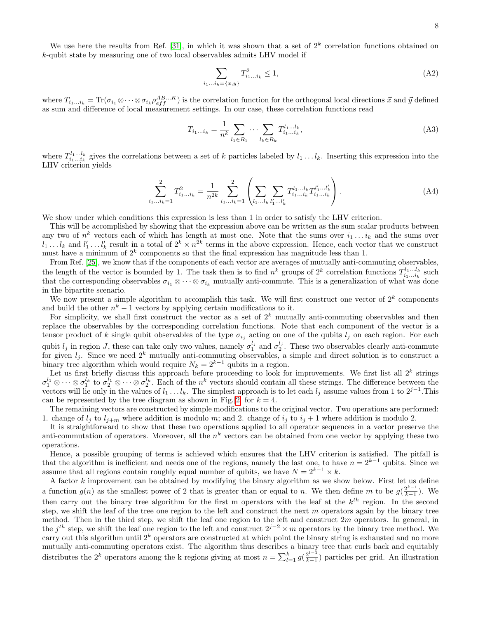We use here the results from Ref. [\[31\]](#page-6-12), in which it was shown that a set of  $2^k$  correlation functions obtained on k-qubit state by measuring one of two local observables admits LHV model if

$$
\sum_{i_1...i_k=\{x,y\}} T_{i_1...i_k}^2 \le 1,\tag{A2}
$$

where  $T_{i_1...i_k} = \text{Tr}(\sigma_{i_1} \otimes \cdots \otimes \sigma_{i_k} \rho_{eff}^{AB...K})$  is the correlation function for the orthogonal local directions  $\vec{x}$  and  $\vec{y}$  defined as sum and difference of local measurement settings. In our case, these correlation functions read

$$
T_{i_1...i_k} = \frac{1}{n^k} \sum_{l_1 \in R_1} \cdots \sum_{l_k \in R_k} T_{i_1...i_k}^{l_1...l_k},\tag{A3}
$$

where  $T_{i_1...i_k}^{l_1...l_k}$  gives the correlations between a set of k particles labeled by  $l_1...l_k$ . Inserting this expression into the LHV criterion yields

$$
\sum_{i_1...i_k=1}^2 T_{i_1...i_k}^2 = \frac{1}{n^{2k}} \sum_{i_1...i_k=1}^2 \left( \sum_{l_1...l_k} \sum_{l'_1...l'_k} T_{i_1...i_k}^{l_1...l_k} T_{i_1...i_k}^{l'_1...l'_k} \right).
$$
 (A4)

We show under which conditions this expression is less than 1 in order to satisfy the LHV criterion.

This will be accomplished by showing that the expression above can be written as the sum scalar products between any two of  $n^k$  vectors each of which has length at most one. Note that the sums over  $i_1 \ldots i_k$  and the sums over  $l_1 \ldots l_k$  and  $l'_1 \ldots l'_k$  result in a total of  $2^k \times n^{2k}$  terms in the above expression. Hence, each vector that we construct must have a minimum of  $2^k$  components so that the final expression has magnitude less than 1.

From Ref. [\[25\]](#page-6-21), we know that if the components of each vector are averages of mutually anti-commuting observables, the length of the vector is bounded by 1. The task then is to find  $n^k$  groups of  $2^k$  correlation functions  $T_{i_1...i_k}^{l_1...l_k}$  such that the corresponding observables  $\sigma_{i_1} \otimes \cdots \otimes \sigma_{i_k}$  mutually anti-commute. This is a generalization of what was done in the bipartite scenario.

We now present a simple algorithm to accomplish this task. We will first construct one vector of  $2^k$  components and build the other  $n^k - 1$  vectors by applying certain modifications to it.

For simplicity, we shall first construct the vector as a set of  $2<sup>k</sup>$  mutually anti-commuting observables and then replace the observables by the corresponding correlation functions. Note that each component of the vector is a tensor product of k single qubit observables of the type  $\sigma_{i_j}$  acting on one of the qubits  $l_j$  on each region. For each qubit  $l_j$  in region J, these can take only two values, namely  $\sigma_1^{l_j}$  and  $\sigma_2^{l_j}$ . These two observables clearly anti-commute for given  $l_j$ . Since we need  $2^k$  mutually anti-commuting observables, a simple and direct solution is to construct a binary tree algorithm which would require  $N_k = 2^{k-1}$  qubits in a region.

Let us first briefly discuss this approach before proceeding to look for improvements. We first list all  $2^k$  strings  $\sigma_1^{l_1}\otimes\cdots\otimes\sigma_1^{l_k}$  to  $\sigma_2^{l_1}\otimes\cdots\otimes\sigma_2^{l_k}$ . Each of the  $n^k$  vectors should contain all these strings. The difference between the vectors will lie only in the values of  $l_1 \ldots l_k$ . The simplest approach is to let each  $l_j$  assume values from 1 to  $2^{j-1}$ . This can be represented by the tree diagram as shown in Fig.[\[2\]](#page-8-0) for  $k = 4$ .

The remaining vectors are constructed by simple modifications to the original vector. Two operations are performed: 1. change of  $l_j$  to  $l_{j+m}$  where addition is modulo m; and 2. change of  $i_j$  to  $i_j + 1$  where addition is modulo 2.

It is straightforward to show that these two operations applied to all operator sequences in a vector preserve the anti-commutation of operators. Moreover, all the  $n^k$  vectors can be obtained from one vector by applying these two operations.

Hence, a possible grouping of terms is achieved which ensures that the LHV criterion is satisfied. The pitfall is that the algorithm is inefficient and needs one of the regions, namely the last one, to have  $n = 2^{k-1}$  qubits. Since we assume that all regions contain roughly equal number of qubits, we have  $N = 2^{k-1} \times k$ .

A factor k improvement can be obtained by modifying the binary algorithm as we show below. First let us define a function  $g(n)$  as the smallest power of 2 that is greater than or equal to n. We then define m to be  $g(\frac{2^{k-1}}{k-1})$  $\frac{2^{k-1}}{k-1}$ ). We then carry out the binary tree algorithm for the first m operators with the leaf at the  $k^{th}$  region. In the second step, we shift the leaf of the tree one region to the left and construct the next  $m$  operators again by the binary tree method. Then in the third step, we shift the leaf one region to the left and construct  $2m$  operators. In general, in the j<sup>th</sup> step, we shift the leaf one region to the left and construct  $2^{j-2} \times m$  operators by the binary tree method. We carry out this algorithm until  $2^k$  operators are constructed at which point the binary string is exhausted and no more mutually anti-commuting operators exist. The algorithm thus describes a binary tree that curls back and equitably distributes the 2<sup>k</sup> operators among the k regions giving at most  $n = \sum_{l=1}^{k} g(\frac{2^{l-1}}{k-1})$  $\frac{2^{k-1}}{k-1}$ ) particles per grid. An illustration